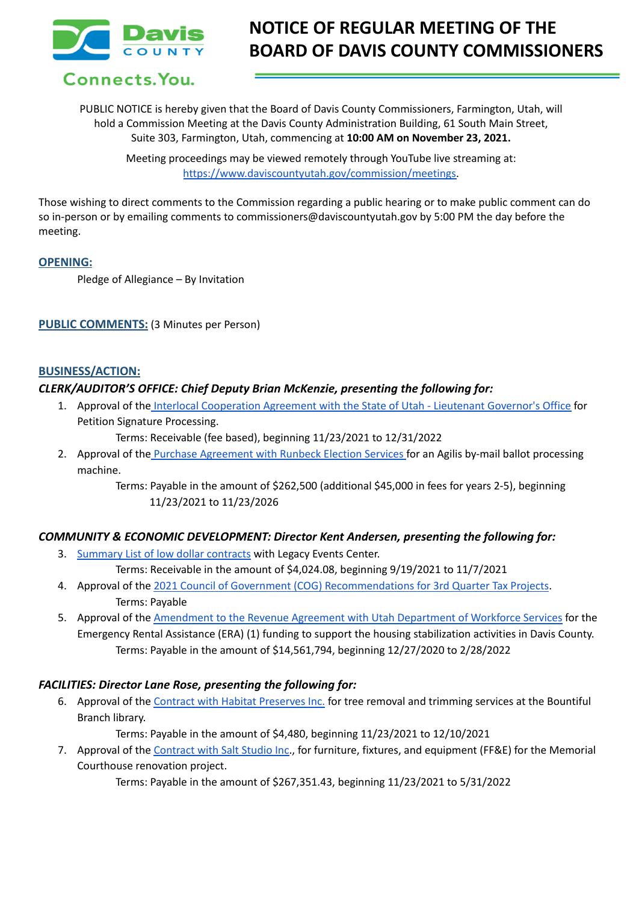

# **NOTICE OF REGULAR MEETING OF THE BOARD OF DAVIS COUNTY COMMISSIONERS**

Connects. You.

PUBLIC NOTICE is hereby given that the Board of Davis County Commissioners, Farmington, Utah, will hold a Commission Meeting at the Davis County Administration Building, 61 South Main Street, Suite 303, Farmington, Utah, commencing at **10:00 AM on November 23, 2021.**

Meeting proceedings may be viewed remotely through YouTube live streaming at: [https://www.daviscountyutah.gov/commission/meetings.](https://www.daviscountyutah.gov/commission/meetings)

Those wishing to direct comments to the Commission regarding a public hearing or to make public comment can do so in-person or by emailing comments to commissioners@daviscountyutah.gov by 5:00 PM the day before the meeting.

#### **OPENING:**

Pledge of Allegiance – By Invitation

#### **PUBLIC COMMENTS:** (3 Minutes per Person)

#### **BUSINESS/ACTION:**

#### *CLERK/AUDITOR'S OFFICE: Chief Deputy Brian McKenzie, presenting the following for:*

1. Approval of the Interlocal [Cooperation](https://docs.google.com/document/d/1uf9CrLTre6nXih5xPEO53e2j_rZPjvVS/edit?usp=sharing&ouid=106668054259493981190&rtpof=true&sd=true) Agreement with the State of Utah - Lieutenant Governor's Office for Petition Signature Processing.

Terms: Receivable (fee based), beginning 11/23/2021 to 12/31/2022

2. Approval of the Purchase [Agreement](https://drive.google.com/file/d/1-TS5Nkv4ck4umhXfrcqwUCKspLQDhar3/view?usp=sharing) with Runbeck Election Services for an Agilis by-mail ballot processing machine.

> Terms: Payable in the amount of \$262,500 (additional \$45,000 in fees for years 2-5), beginning 11/23/2021 to 11/23/2026

## *COMMUNITY & ECONOMIC DEVELOPMENT: Director Kent Andersen, presenting the following for:*

3. [Summary](https://drive.google.com/file/d/10e5U8ai5r2qiyLfWxqdN4stpI5iibaeb/view?usp=sharing) List of low dollar contracts with Legacy Events Center.

Terms: Receivable in the amount of \$4,024.08, beginning 9/19/2021 to 11/7/2021

- 4. Approval of the 2021 Council of Government (COG) [Recommendations](https://docs.google.com/document/d/1wRvrfhQcZ9GMC2KDsJ4X2Km29LswCZg_/edit?usp=sharing&ouid=106668054259493981190&rtpof=true&sd=true) for 3rd Quarter Tax Projects. Terms: Payable
- 5. Approval of the [Amendment](https://drive.google.com/file/d/1EoYJcSq1Khj7Zk26pJqYPl1gN-KK_ODI/view?usp=sharing) to the Revenue Agreement with Utah Department of Workforce Services for the Emergency Rental Assistance (ERA) (1) funding to support the housing stabilization activities in Davis County. Terms: Payable in the amount of \$14,561,794, beginning 12/27/2020 to 2/28/2022

## *FACILITIES: Director Lane Rose, presenting the following for:*

6. Approval of the Contract with Habitat [Preserves](https://drive.google.com/file/d/16ieIZvks1jJwcwwDKyGdBaZK2hi_U4Eq/view?usp=sharing) Inc. for tree removal and trimming services at the Bountiful Branch library.

Terms: Payable in the amount of \$4,480, beginning 11/23/2021 to 12/10/2021

7. Approval of the [Contract](https://drive.google.com/file/d/1YsZFSP0pBWpAOSs31E7IaQaOgflL1AD5/view?usp=sharing) with Salt Studio Inc., for furniture, fixtures, and equipment (FF&E) for the Memorial Courthouse renovation project.

Terms: Payable in the amount of \$267,351.43, beginning 11/23/2021 to 5/31/2022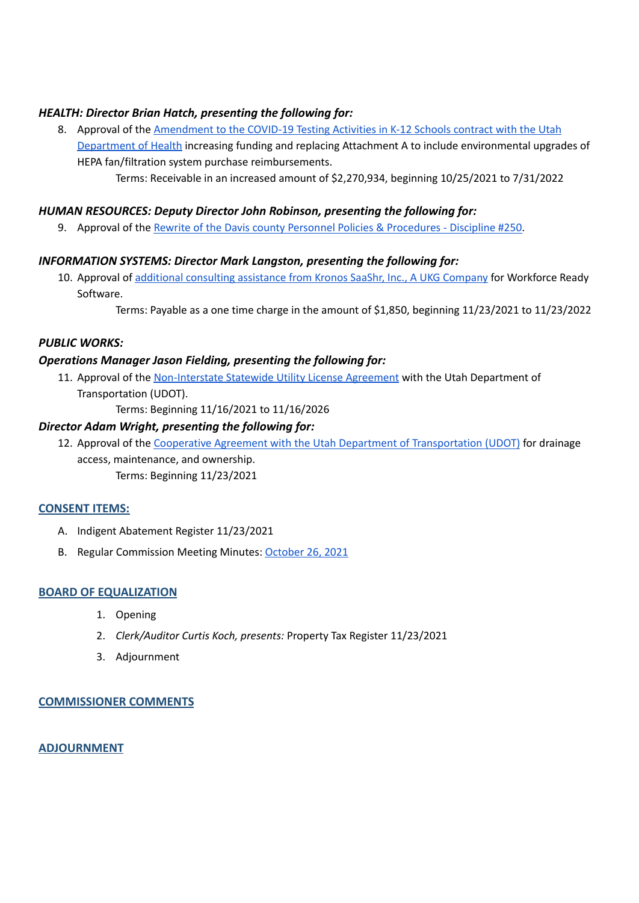# *HEALTH: Director Brian Hatch, presenting the following for:*

8. Approval of the [Amendment](https://drive.google.com/file/d/1wX-eDDvmvBx4ND2o6N7HY0C2qhA-10Wa/view?usp=sharing) to the COVID-19 Testing Activities in K-12 Schools contract with the Utah [Department](https://drive.google.com/file/d/1wX-eDDvmvBx4ND2o6N7HY0C2qhA-10Wa/view?usp=sharing) of Health increasing funding and replacing Attachment A to include environmental upgrades of HEPA fan/filtration system purchase reimbursements.

Terms: Receivable in an increased amount of \$2,270,934, beginning 10/25/2021 to 7/31/2022

## *HUMAN RESOURCES: Deputy Director John Robinson, presenting the following for:*

9. Approval of the Rewrite of the Davis county Personnel Policies & [Procedures](https://docs.google.com/document/d/12HOdDTjFLpQohI2g7eXZlFydlwwn3Ydi/edit?usp=sharing&ouid=106668054259493981190&rtpof=true&sd=true) - Discipline #250.

## *INFORMATION SYSTEMS: Director Mark Langston, presenting the following for:*

10. Approval of additional [consulting](https://drive.google.com/file/d/1zFPwTzVN1pymB8xPshx6MhyVoquLbxZX/view?usp=sharing) assistance from Kronos SaaShr, Inc., A UKG Company for Workforce Ready Software.

Terms: Payable as a one time charge in the amount of \$1,850, beginning 11/23/2021 to 11/23/2022

# *PUBLIC WORKS:*

## *Operations Manager Jason Fielding, presenting the following for:*

11. Approval of the [Non-Interstate](https://docs.google.com/document/d/1pN412u7pCFDYxUcDtZHuRbZRkgOjoG6O/edit?usp=sharing&ouid=106668054259493981190&rtpof=true&sd=true) Statewide Utility License Agreement with the Utah Department of Transportation (UDOT).

Terms: Beginning 11/16/2021 to 11/16/2026

## *Director Adam Wright, presenting the following for:*

12. Approval of the Cooperative Agreement with the Utah Department of [Transportation](https://docs.google.com/document/d/1M1lUhQQfaD6V45_IkMpHqGSlLzGM_MIE/edit?usp=sharing&ouid=106668054259493981190&rtpof=true&sd=true) (UDOT) for drainage access, maintenance, and ownership.

Terms: Beginning 11/23/2021

## **CONSENT ITEMS:**

- A. Indigent Abatement Register 11/23/2021
- B. Regular Commission Meeting Minutes: [October](https://drive.google.com/file/d/1-WFFaQtvBE4F8UNGyJlrZaioBeI0P_Cm/view?usp=sharing) 26, 2021

## **BOARD OF EQUALIZATION**

- 1. Opening
- 2. *Clerk/Auditor Curtis Koch, presents:* Property Tax Register 11/23/2021
- 3. Adjournment

## **COMMISSIONER COMMENTS**

## **ADJOURNMENT**